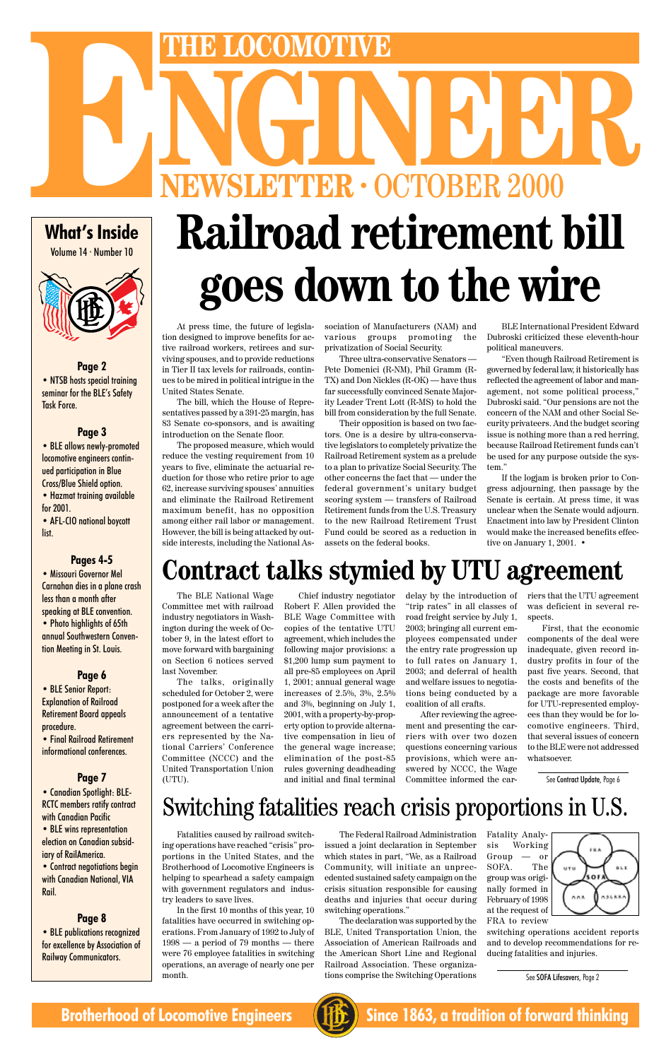**What's Inside**

Volume 14 · Number 10

### **Page 2** • NTSB hosts special training seminar for the BLE's Safety Task Force.

### **Page 3**

• BLE allows newly-promoted locomotive engineers continued participation in Blue Cross/Blue Shield option. • Hazmat training available

for 2001.

• AFL-CIO national boycott list.

### **Pages 4-5**

• Missouri Governor Mel Carnahan dies in a plane crash less than a month after speaking at BLE convention. • Photo highlights of 65th annual Southwestern Convention Meeting in St. Louis.

• BLE publications recognized for excellence by Association of Railway Communicators.

### **Page 6**

• BLE Senior Report: Explanation of Railroad Retirement Board appeals procedure.

• Final Railroad Retirement informational conferences.

### **Page 7**

• Canadian Spotlight: BLE-RCTC members ratify contract with Canadian Pacific

• BLE wins representation election on Canadian subsidiary of RailAmerica.

• Contract negotiations begin with Canadian National, VIA Rail.

### **Page 8**

# Switching fatalities reach crisis proportions in U.S.

Fatalities caused by railroad switching operations have reached "crisis" proportions in the United States, and the Brotherhood of Locomotive Engineers is helping to spearhead a safety campaign with government regulators and industry leaders to save lives.

In the first 10 months of this year, 10 fatalities have occurred in switching operations. From January of 1992 to July of 1998 — a period of 79 months — there were 76 employee fatalities in switching operations, an average of nearly one per month.

The Federal Railroad Administration issued a joint declaration in September which states in part, "We, as a Railroad Community, will initiate an unprecedented sustained safety campaign on the crisis situation responsible for causing deaths and injuries that occur during switching operations."

The declaration was supported by the BLE, United Transportation Union, the Association of American Railroads and the American Short Line and Regional Railroad Association. These organizations comprise the Switching Operations



If the logjam is broken prior to Congress adjourning, then passage by the Senate is certain. At press time, it was unclear when the Senate would adjourn. Enactment into law by President Clinton would make the increased benefits effective on January 1, 2001. •

switching operations accident reports and to develop recommendations for reducing fatalities and injuries.

See SOFA Lifesavers, Page 2



**Brotherhood of Locomotive Engineers (HE)** Since 1863, a tradition of forward thinking

# **Contract talks stymied by UTU agreement**

At press time, the future of legislation designed to improve benefits for active railroad workers, retirees and surviving spouses, and to provide reductions in Tier II tax levels for railroads, continues to be mired in political intrigue in the

United States Senate.

The bill, which the House of Representatives passed by a 391-25 margin, has 83 Senate co-sponsors, and is awaiting

introduction on the Senate floor.

The proposed measure, which would reduce the vesting requirement from 10 years to five, eliminate the actuarial reduction for those who retire prior to age 62, increase surviving spouses' annuities and eliminate the Railroad Retirement maximum benefit, has no opposition among either rail labor or management. However, the bill is being attacked by outside interests, including the National Association of Manufacturers (NAM) and various groups promoting the privatization of Social Security.

# **EWSLETTER · OCTOBER 2000 THE LOCOMOTIVE**<br> **ENEWSLETTER · OCTOBER 2000 Railroad retirement bill goes down to the wire**

Three ultra-conservative Senators — Pete Domenici (R-NM), Phil Gramm (R-TX) and Don Nickles (R-OK) — have thus far successfully convinced Senate Majority Leader Trent Lott (R-MS) to hold the bill from consideration by the full Senate.

Their opposition is based on two factors. One is a desire by ultra-conservative legislators to completely privatize the Railroad Retirement system as a prelude to a plan to privatize Social Security. The other concerns the fact that — under the federal government's unitary budget scoring system — transfers of Railroad Retirement funds from the U.S. Treasury to the new Railroad Retirement Trust Fund could be scored as a reduction in assets on the federal books.

BLE International President Edward Dubroski criticized these eleventh-hour political maneuvers.

"Even though Railroad Retirement is governed by federal law, it historically has reflected the agreement of labor and management, not some political process," Dubroski said. "Our pensions are not the concern of the NAM and other Social Security privateers. And the budget scoring issue is nothing more than a red herring, because Railroad Retirement funds can't be used for any purpose outside the system."

The BLE National Wage Committee met with railroad industry negotiators in Washington during the week of October 9, in the latest effort to move forward with bargaining on Section 6 notices served last November.

The talks, originally scheduled for October 2, were postponed for a week after the announcement of a tentative agreement between the carriers represented by the National Carriers' Conference Committee (NCCC) and the United Transportation Union (UTU).

Chief industry negotiator Robert F. Allen provided the BLE Wage Committee with copies of the tentative UTU agreement, which includes the following major provisions: a \$1,200 lump sum payment to all pre-85 employees on April 1, 2001; annual general wage increases of 2.5%, 3%, 2.5% and 3%, beginning on July 1, 2001, with a property-by-property option to provide alternative compensation in lieu of the general wage increase; elimination of the post-85 rules governing deadheading

delay by the introduction of "trip rates" in all classes of road freight service by July 1, 2003; bringing all current employees compensated under the entry rate progression up to full rates on January 1, 2003; and deferral of health and welfare issues to negotiations being conducted by a coalition of all crafts.

and initial and final terminal After reviewing the agreement and presenting the carriers with over two dozen questions concerning various provisions, which were answered by NCCC, the Wage Committee informed the carriers that the UTU agreement was deficient in several respects.

First, that the economic components of the deal were inadequate, given record industry profits in four of the past five years. Second, that the costs and benefits of the package are more favorable for UTU-represented employees than they would be for locomotive engineers. Third, that several issues of concern to the BLE were not addressed whatsoever.

See Contract Update, Page 6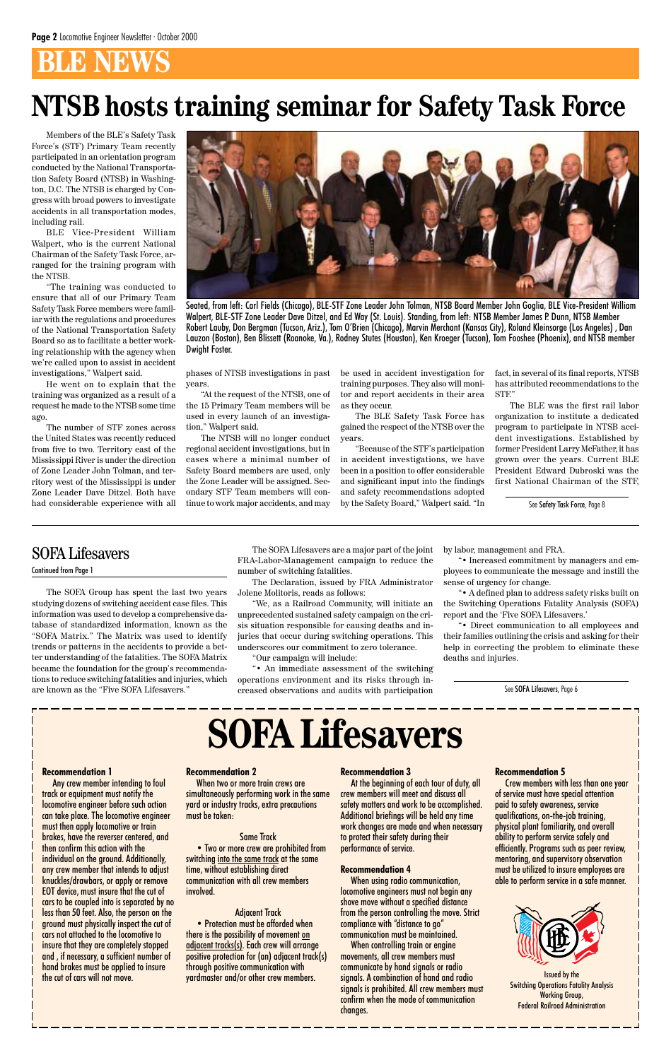# **BLE NEWS**

The SOFA Group has spent the last two years studying dozens of switching accident case files. This information was used to develop a comprehensive database of standardized information, known as the "SOFA Matrix." The Matrix was used to identify trends or patterns in the accidents to provide a better understanding of the fatalities. The SOFA Matrix became the foundation for the group's recommendations to reduce switching fatalities and injuries, which are known as the "Five SOFA Lifesavers."

The SOFA Lifesavers are a major part of the joint FRA-Labor-Management campaign to reduce the number of switching fatalities.

The Declaration, issued by FRA Administrator Jolene Molitoris, reads as follows:

"We, as a Railroad Community, will initiate an unprecedented sustained safety campaign on the crisis situation responsible for causing deaths and injuries that occur during switching operations. This underscores our commitment to zero tolerance.

"Our campaign will include:

"• An immediate assessment of the switching operations environment and its risks through increased observations and audits with participation by labor, management and FRA.

"• Increased commitment by managers and employees to communicate the message and instill the sense of urgency for change.

"• A defined plan to address safety risks built on the Switching Operations Fatality Analysis (SOFA) report and the 'Five SOFA Lifesavers.'

"• Direct communication to all employees and their families outlining the crisis and asking for their help in correcting the problem to eliminate these deaths and injuries.

**Recommendation 1**

Any crew member intending to foul track or equipment must notify the locomotive engineer before such action can take place. The locomotive engineer must then apply locomotive or train brakes, have the reverser centered, and then confirm this action with the individual on the ground. Additionally, any crew member that intends to adjust knuckles/drawbars, or apply or remove EOT device, must insure that the cut of cars to be coupled into is separated by no less than 50 feet. Also, the person on the ground must physically inspect the cut of cars not attached to the locomotive to insure that they are completely stopped and , if necessary, a sufficient number of hand brakes must be applied to insure the cut of cars will not move.

When two or more train crews are simultaneously performing work in the same yard or industry tracks, extra precautions must be taken:

#### Same Track

• Two or more crew are prohibited from switching into the same track at the same time, without establishing direct communication with all crew members involved.

### Adjacent Track

• Protection must be afforded when there is the possibility of movement on adjacent tracks(s). Each crew will arrange positive protection for (an) adjacent track(s) through positive communication with yardmaster and/or other crew members.

At the beginning of each tour of duty, all crew members will meet and discuss all safety matters and work to be accomplished. Additional briefings will be held any time work changes are made and when necessary to protect their safety during their performance of service.

### **Recommendation 4**



When using radio communication, locomotive engineers must not begin any shove move without a specified distance from the person controlling the move. Strict compliance with "distance to go" communication must be maintained. When controlling train or engine movements, all crew members must communicate by hand signals or radio signals. A combination of hand and radio signals is prohibited. All crew members must confirm when the mode of communication changes.



Crew members with less than one year of service must have special attention paid to safety awareness, service qualifications, on-the-job training, physical plant familiarity, and overall ability to perform service safely and efficiently. Programs such as peer review, mentoring, and supervisory observation must be utilized to insure employees are able to perform service in a safe manner.

> Issued by the Switching Operations Fatality Analysis Working Group, Federal Railroad Administration

### SOFA Lifesavers

Continued from Page 1

Members of the BLE's Safety Task Force's (STF) Primary Team recently participated in an orientation program conducted by the National Transportation Safety Board (NTSB) in Washington, D.C. The NTSB is charged by Congress with broad powers to investigate accidents in all transportation modes, including rail.

BLE Vice-President William Walpert, who is the current National Chairman of the Safety Task Force, arranged for the training program with the NTSB.

"The training was conducted to ensure that all of our Primary Team Safety Task Force members were familiar with the regulations and procedures of the National Transportation Safety Board so as to facilitate a better working relationship with the agency when we're called upon to assist in accident investigations," Walpert said.

He went on to explain that the training was organized as a result of a request he made to the NTSB some time ago.

The number of STF zones across the United States was recently reduced from five to two. Territory east of the Mississippi River is under the direction of Zone Leader John Tolman, and territory west of the Mississippi is under Zone Leader Dave Ditzel. Both have had considerable experience with all



phases of NTSB investigations in past years.

"At the request of the NTSB, one of the 15 Primary Team members will be used in every launch of an investigation," Walpert said.

The NTSB will no longer conduct regional accident investigations, but in cases where a minimal number of Safety Board members are used, only the Zone Leader will be assigned. Secondary STF Team members will continue to work major accidents, and may

be used in accident investigation for training purposes. They also will monitor and report accidents in their area as they occur.

The BLE Safety Task Force has gained the respect of the NTSB over the years.

"Because of the STF's participation in accident investigations, we have been in a position to offer considerable and significant input into the findings and safety recommendations adopted by the Safety Board," Walpert said. "In

fact, in several of its final reports, NTSB has attributed recommendations to the STF."

The BLE was the first rail labor organization to institute a dedicated program to participate in NTSB accident investigations. Established by former President Larry McFather, it has grown over the years. Current BLE President Edward Dubroski was the first National Chairman of the STF,

Seated, from left: Carl Fields (Chicago), BLE-STF Zone Leader John Tolman, NTSB Board Member John Goglia, BLE Vice-President William Walpert, BLE-STF Zone Leader Dave Ditzel, and Ed Way (St. Louis). Standing, from left: NTSB Member James P. Dunn, NTSB Member Robert Lauby, Don Bergman (Tucson, Ariz.), Tom O'Brien (Chicago), Marvin Merchant (Kansas City), Roland Kleinsorge (Los Angeles) , Dan Lauzon (Boston), Ben Blissett (Roanoke, Va.), Rodney Stutes (Houston), Ken Kroeger (Tucson), Tom Fooshee (Phoenix), and NTSB member Dwight Foster.

# **NTSB hosts training seminar for Safety Task Force**

See Safety Task Force, Page 8

See SOFA Lifesavers, Page 6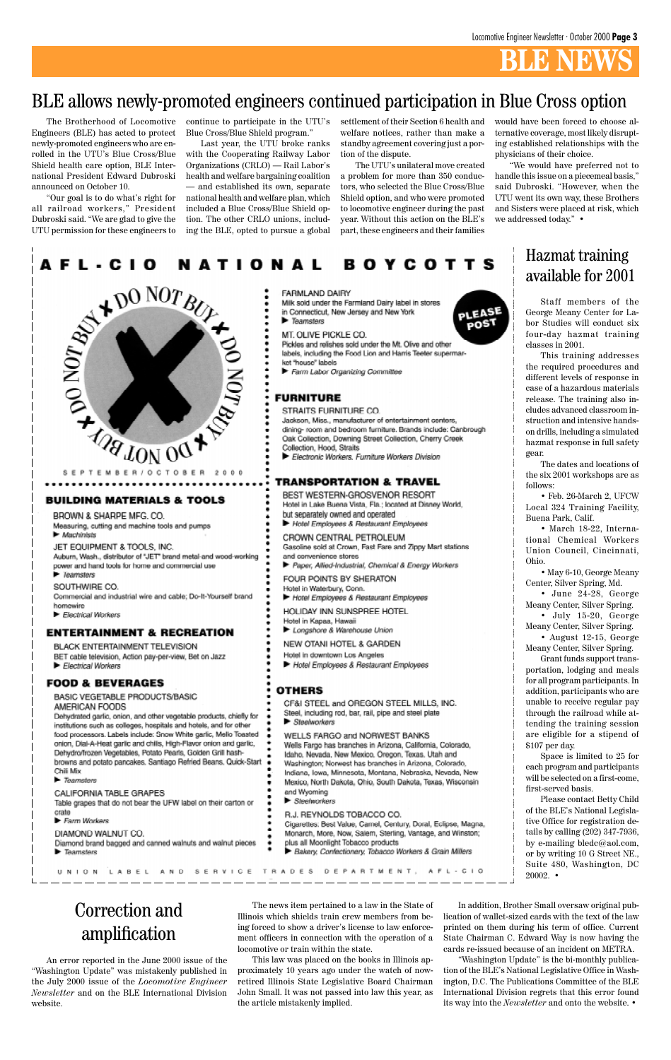# **BLE NEWS**

Staff members of the George Meany Center for Labor Studies will conduct six four-day hazmat training classes in 2001.

This training addresses the required procedures and different levels of response in case of a hazardous materials release. The training also includes advanced classroom instruction and intensive handson drills, including a simulated hazmat response in full safety gear.

The dates and locations of the six 2001 workshops are as follows:

• Feb. 26-March 2, UFCW Local 324 Training Facility, Buena Park, Calif.

Space is limited to 25 for each program and participants a first-come,

| $\blacktriangleright$ Teamsters                                | Mexico, North Dakota, Ohio, South Dakota, Texas, Wisconsin     | will be selected on a first-come,  |
|----------------------------------------------------------------|----------------------------------------------------------------|------------------------------------|
| CALIFORNIA TABLE GRAPES                                        | and Wyoming                                                    | first-served basis.                |
| Table grapes that do not bear the UFW label on their carton or | <b>B</b> Steelworkers                                          | Please contact Betty Child         |
| crate                                                          | R.J. REYNOLDS TOBACCO CO.                                      | of the BLE's National Legisla-     |
| Ferm Workers                                                   | Cigarettes: Best Value, Camel, Century, Doral, Eclipse, Magna, | tive Office for registration de-   |
| DIAMOND WALNUT CO.                                             | Monarch, More, Now, Salem, Sterling, Vantage, and Winston;     | tails by calling $(202)$ 347-7936, |
| Diamond brand bagged and canned walnuts and walnut pieces      | plus all Moonlight Tobacco products                            | by e-mailing bledc@aol.com,        |
| $\blacktriangleright$ Teamsters                                | Bakery, Confectionery, Tobacco Workers & Grain Millers         | or by writing 10 G Street NE.      |
|                                                                |                                                                | Suite 480, Washington, DC          |
| LABEL AND                                                      | SERVICE TRADES DEPARTMENT. AFL-CIO                             | $20002 -$                          |

• March 18-22, International Chemical Workers Union Council, Cincinnati, Ohio.

• May 6-10, George Meany Center, Silver Spring, Md.

• June 24-28, George Meany Center, Silver Spring.

• July 15-20, George Meany Center, Silver Spring.

• August 12-15, George Meany Center, Silver Spring.

Grant funds support transportation, lodging and meals for all program participants. In addition, participants who are unable to receive regular pay through the railroad while attending the training session are eligible for a stipend of \$107 per day.

20002. •

### Hazmat training available for 2001

The Brotherhood of Locomotive Engineers (BLE) has acted to protect newly-promoted engineers who are enrolled in the UTU's Blue Cross/Blue Shield health care option, BLE International President Edward Dubroski announced on October 10.

"Our goal is to do what's right for all railroad workers," President Dubroski said. "We are glad to give the UTU permission for these engineers to

continue to participate in the UTU's Blue Cross/Blue Shield program."

Last year, the UTU broke ranks with the Cooperating Railway Labor Organizations (CRLO) — Rail Labor's health and welfare bargaining coalition — and established its own, separate national health and welfare plan, which included a Blue Cross/Blue Shield option. The other CRLO unions, including the BLE, opted to pursue a global

settlement of their Section 6 health and welfare notices, rather than make a standby agreement covering just a portion of the dispute.

The UTU's unilateral move created a problem for more than 350 conductors, who selected the Blue Cross/Blue Shield option, and who were promoted to locomotive engineer during the past year. Without this action on the BLE's part, these engineers and their families

PLEASE

poST

### BLE allows newly-promoted engineers continued participation in Blue Cross option

An error reported in the June 2000 issue of the "Washington Update" was mistakenly published in the July 2000 issue of the *Locomotive Engineer Newsletter* and on the BLE International Division website.

The news item pertained to a law in the State of Illinois which shields train crew members from being forced to show a driver's license to law enforcement officers in connection with the operation of a locomotive or train within the state.

This law was placed on the books in Illinois approximately 10 years ago under the watch of nowretired Illinois State Legislative Board Chairman John Small. It was not passed into law this year, as the article mistakenly implied.

In addition, Brother Small oversaw original publication of wallet-sized cards with the text of the law printed on them during his term of office. Current State Chairman C. Edward Way is now having the cards re-issued because of an incident on METRA.

"Washington Update" is the bi-monthly publication of the BLE's National Legislative Office in Washington, D.C. The Publications Committee of the BLE International Division regrets that this error found its way into the *Newsletter* and onto the website. •

Correction and amplification

would have been forced to choose alternative coverage, most likely disrupting established relationships with the physicians of their choice.

"We would have preferred not to handle this issue on a piecemeal basis," said Dubroski. "However, when the UTU went its own way, these Brothers and Sisters were placed at risk, which we addressed today." •

#### **BOYCOTTS** A F L - C I O NATIONAL



### **BUILDING MATERIALS & TOOLS**

BROWN & SHARPE MFG. CO. Measuring, cutting and machine tools and pumps  $\blacktriangleright$  Machinists

JET EQUIPMENT & TOOLS, INC.

Auburn, Wash., distributor of "JET" brand metal-and wood-working power and hand tools for home and commercial use  $\blacktriangleright$  Teamsters

SOUTHWIRE CO. Commercial and industrial wire and cable; Do-It-Yourself brand homewire

Electrical Workers

### **ENTERTAINMENT & RECREATION**

BLACK ENTERTAINMENT TELEVISION BET cable television, Action pay-per-view, Bet on Jazz Electrical Workers

### **FOOD & BEVERAGES**

BASIC VEGETABLE PRODUCTS/BASIC AMERICAN FOODS

Dehydrated garlic, onion, and other vegetable products, chiefly for institutions such as colleges, hospitals and hotels, and for other food processors. Labels include: Snow White garlic, Mello Toasted onion, Dial-A-Heat garlic and chilis, High-Flavor onion and garlic, Dehydro/frozen Vegetables, Potato Pearls, Golden Grill hashbrowns and potato pancakes, Santiago Refried Beans, Quick-Start Chili Mix

#### **FARMLAND DAIRY**

Milk sold under the Farmland Dairy label in stores in Connecticut, New Jersey and New York **F** Teamsters

MT. OLIVE PICKLE CO.

Pickles and relishes sold under the Mt. Olive and other labels, including the Food Lion and Harris Teeter supermarket "house" labels

Farm Labor Organizing Committee

### **FURNITURE**

- STRAITS FURNITURE CO.
- Jackson, Miss., manufacturer of entertainment centers,
- dining- room and bedroom furniture. Brands include: Canbrough Oak Collection, Downing Street Collection, Cherry Creek
- Collection, Hood, Straits
- Electronic Workers, Furniture Workers Division

### TRANSPORTATION & TRAVEL

BEST WESTERN-GROSVENOR RESORT Hotel in Lake Buena Vista, Fla.; located at Disney World, but separately owned and operated

Hotel Employees & Restaurant Employees

CROWN CENTRAL PETROLEUM Gasoline sold at Crown, Fast Fare and Zippy Mart stations and convenience stores

Paper, Allied-Industrial, Chemical & Energy Workers

FOUR POINTS BY SHERATON Hotel in Waterbury, Conn.

Hotel Employees & Restaurant Employees

HOLIDAY INN SUNSPREE HOTEL Hotel in Kapaa, Hawaii

Longshore & Warehouse Union

NEW OTANI HOTEL & GARDEN

Hotel in downtown Los Angeles

Hotel Employees & Restaurant Employees

### **OTHERS**

CF&I STEEL and OREGON STEEL MILLS, INC. Steel, including rod, bar, rail, pipe and steel plate Steelworkers

WELLS FARGO and NORWEST BANKS Wells Fargo has branches in Arizona, California, Colorado, Idaho, Nevada, New Mexico, Oregon, Texas, Utah and Washington; Norwest has branches in Arizona, Colorado, Indiana, Iowa, Minnesota, Montana, Nebraska, Nevada, New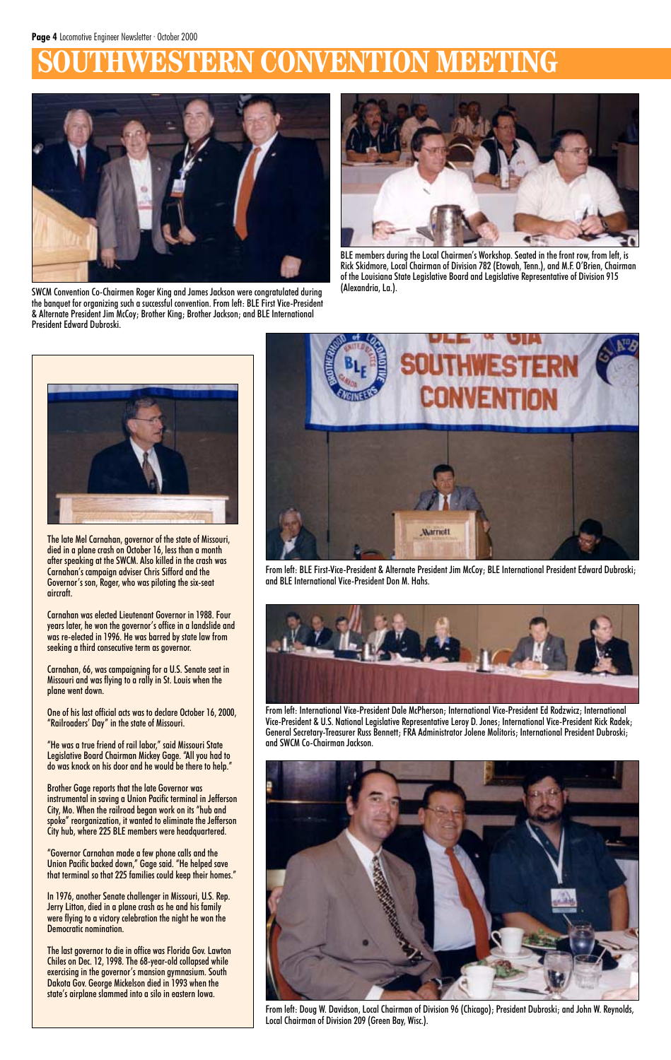# **BRN CONVENTION MEETING**



BLE members during the Local Chairmen's Workshop. Seated in the front row, from left, is Rick Skidmore, Local Chairman of Division 782 (Etowah, Tenn.), and M.F. O'Brien, Chairman of the Louisiana State Legislative Board and Legislative Representative of Division 915



(Alexandria, La.). SWCM Convention Co-Chairmen Roger King and James Jackson were congratulated during the banquet for organizing such a successful convention. From left: BLE First Vice-President & Alternate President Jim McCoy; Brother King; Brother Jackson; and BLE International President Edward Dubroski.

From left: Doug W. Davidson, Local Chairman of Division 96 (Chicago); President Dubroski; and John W. Reynolds, Local Chairman of Division 209 (Green Bay, Wisc.).



The late Mel Carnahan, governor of the state of Missouri, died in a plane crash on October 16, less than a month after speaking at the SWCM. Also killed in the crash was Carnahan's campaign adviser Chris Sifford and the Governor's son, Roger, who was piloting the six-seat aircraft.

Carnahan was elected Lieutenant Governor in 1988. Four years later, he won the governor's office in a landslide and was re-elected in 1996. He was barred by state law from seeking a third consecutive term as governor.

Carnahan, 66, was campaigning for a U.S. Senate seat in Missouri and was flying to a rally in St. Louis when the plane went down.

One of his last official acts was to declare October 16, 2000, "Railroaders' Day" in the state of Missouri.

"He was a true friend of rail labor," said Missouri State Legislative Board Chairman Mickey Gage. "All you had to do was knock on his door and he would be there to help."

Brother Gage reports that the late Governor was instrumental in saving a Union Pacific terminal in Jefferson City, Mo. When the railroad began work on its "hub and spoke" reorganization, it wanted to eliminate the Jefferson City hub, where 225 BLE members were headquartered.

"Governor Carnahan made a few phone calls and the Union Pacific backed down," Gage said. "He helped save that terminal so that 225 families could keep their homes."

In 1976, another Senate challenger in Missouri, U.S. Rep. Jerry Litton, died in a plane crash as he and his family were flying to a victory celebration the night he won the Democratic nomination.

The last governor to die in office was Florida Gov. Lawton Chiles on Dec. 12, 1998. The 68-year-old collapsed while exercising in the governor's mansion gymnasium. South Dakota Gov. George Mickelson died in 1993 when the state's airplane slammed into a silo in eastern Iowa.



From left: International Vice-President Dale McPherson; International Vice-President Ed Rodzwicz; International Vice-President & U.S. National Legislative Representative Leroy D. Jones; International Vice-President Rick Radek; General Secretary-Treasurer Russ Bennett; FRA Administrator Jolene Molitoris; International President Dubroski; and SWCM Co-Chairman Jackson.





From left: BLE First-Vice-President & Alternate President Jim McCoy; BLE International President Edward Dubroski; and BLE International Vice-President Don M. Hahs.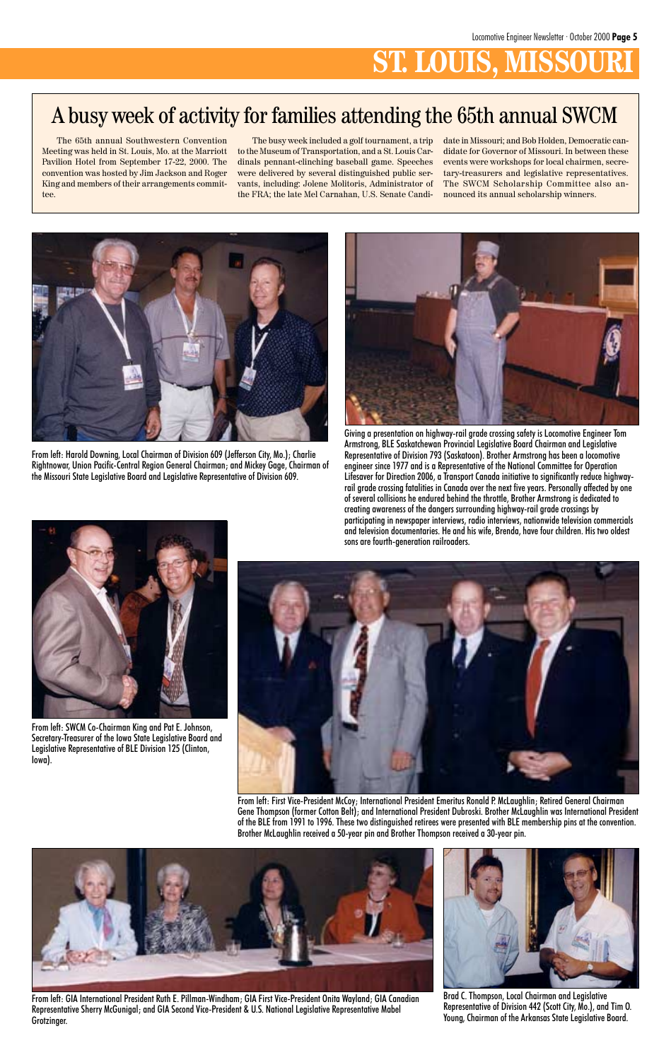# **ST. LOUIS, MISSO**



From left: Harold Downing, Local Chairman of Division 609 (Jefferson City, Mo.); Charlie Rightnowar, Union Pacific-Central Region General Chairman; and Mickey Gage, Chairman of the Missouri State Legislative Board and Legislative Representative of Division 609.



Giving a presentation on highway-rail grade crossing safety is Locomotive Engineer Tom Armstrong, BLE Saskatchewan Provincial Legislative Board Chairman and Legislative Representative of Division 793 (Saskatoon). Brother Armstrong has been a locomotive engineer since 1977 and is a Representative of the National Committee for Operation Lifesaver for Direction 2006, a Transport Canada initiative to significantly reduce highwayrail grade crossing fatalities in Canada over the next five years. Personally affected by one of several collisions he endured behind the throttle, Brother Armstrong is dedicated to creating awareness of the dangers surrounding highway-rail grade crossings by participating in newspaper interviews, radio interviews, nationwide television commercials and television documentaries. He and his wife, Brenda, have four children. His two oldest sons are fourth-generation railroaders.

Brad C. Thompson, Local Chairman and Legislative Representative of Division 442 (Scott City, Mo.), and Tim O. Young, Chairman of the Arkansas State Legislative Board.



From left: GIA International President Ruth E. Pillman-Windham; GIA First Vice-President Onita Wayland; GIA Canadian Representative Sherry McGunigal; and GIA Second Vice-President & U.S. National Legislative Representative Mabel Grotzinger.



From left: SWCM Co-Chairman King and Pat E. Johnson, Secretary-Treasurer of the Iowa State Legislative Board and Legislative Representative of BLE Division 125 (Clinton, Iowa).



From left: First Vice-President McCoy; International President Emeritus Ronald P. McLaughlin; Retired General Chairman Gene Thompson (former Cotton Belt); and International President Dubroski. Brother McLaughlin was International President of the BLE from 1991 to 1996. These two distinguished retirees were presented with BLE membership pins at the convention. Brother McLaughlin received a 50-year pin and Brother Thompson received a 30-year pin.

The 65th annual Southwestern Convention Meeting was held in St. Louis, Mo. at the Marriott Pavilion Hotel from September 17-22, 2000. The convention was hosted by Jim Jackson and Roger King and members of their arrangements committee.

The busy week included a golf tournament, a trip to the Museum of Transportation, and a St. Louis Cardinals pennant-clinching baseball game. Speeches were delivered by several distinguished public servants, including: Jolene Molitoris, Administrator of the FRA; the late Mel Carnahan, U.S. Senate Candidate in Missouri; and Bob Holden, Democratic candidate for Governor of Missouri. In between these events were workshops for local chairmen, secretary-treasurers and legislative representatives. The SWCM Scholarship Committee also announced its annual scholarship winners.

# A busy week of activity for families attending the 65th annual SWCM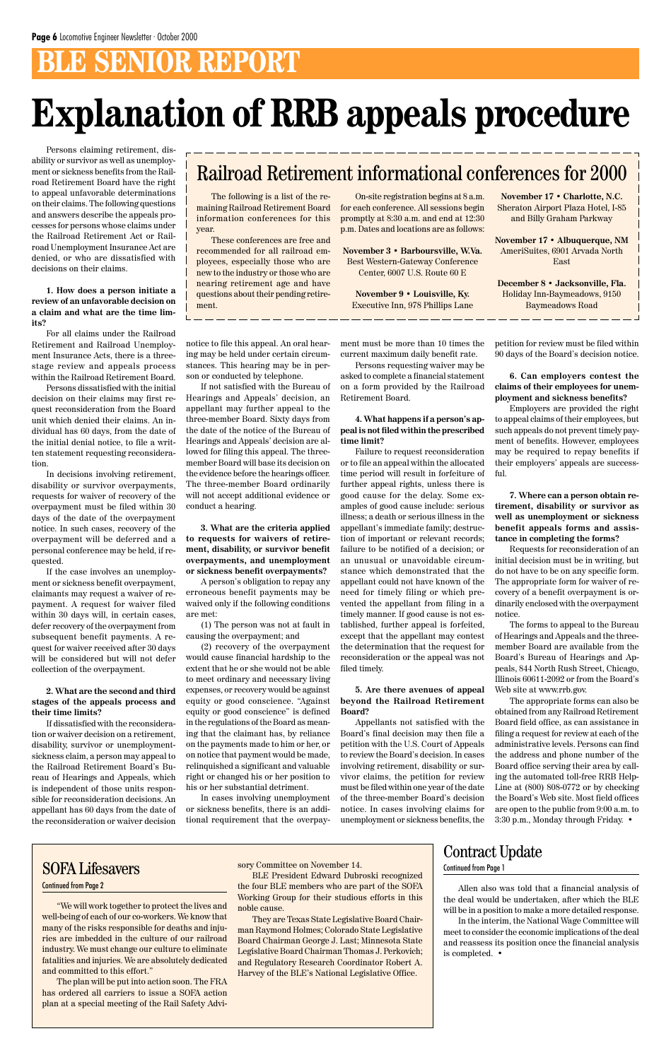# **BLE SENIOR REPORT**

Persons claiming retirement, disability or survivor as well as unemployment or sickness benefits from the Railroad Retirement Board have the right to appeal unfavorable determinations on their claims. The following questions and answers describe the appeals processes for persons whose claims under the Railroad Retirement Act or Railroad Unemployment Insurance Act are denied, or who are dissatisfied with decisions on their claims.

### **1. How does a person initiate a review of an unfavorable decision on a claim and what are the time limits?**

For all claims under the Railroad Retirement and Railroad Unemployment Insurance Acts, there is a threestage review and appeals process within the Railroad Retirement Board.

Persons dissatisfied with the initial decision on their claims may first request reconsideration from the Board unit which denied their claims. An individual has 60 days, from the date of the initial denial notice, to file a written statement requesting reconsideration.

In decisions involving retirement, disability or survivor overpayments, requests for waiver of recovery of the overpayment must be filed within 30 days of the date of the overpayment notice. In such cases, recovery of the overpayment will be deferred and a personal conference may be held, if requested.

If the case involves an unemployment or sickness benefit overpayment, claimants may request a waiver of repayment. A request for waiver filed within 30 days will, in certain cases, defer recovery of the overpayment from subsequent benefit payments. A request for waiver received after 30 days will be considered but will not defer collection of the overpayment.

#### **2. What are the second and third stages of the appeals process and their time limits?**

If dissatisfied with the reconsideration or waiver decision on a retirement, disability, survivor or unemploymentsickness claim, a person may appeal to the Railroad Retirement Board's Bureau of Hearings and Appeals, which is independent of those units responsible for reconsideration decisions. An appellant has 60 days from the date of the reconsideration or waiver decision

notice to file this appeal. An oral hearing may be held under certain circumstances. This hearing may be in person or conducted by telephone.

If not satisfied with the Bureau of Hearings and Appeals' decision, an appellant may further appeal to the three-member Board. Sixty days from the date of the notice of the Bureau of Hearings and Appeals' decision are allowed for filing this appeal. The threemember Board will base its decision on the evidence before the hearings officer. The three-member Board ordinarily will not accept additional evidence or conduct a hearing.

**3. What are the criteria applied to requests for waivers of retirement, disability, or survivor benefit overpayments, and unemployment or sickness benefit overpayments?**

A person's obligation to repay any erroneous benefit payments may be waived only if the following conditions are met:

(1) The person was not at fault in causing the overpayment; and

(2) recovery of the overpayment would cause financial hardship to the extent that he or she would not be able to meet ordinary and necessary living expenses, or recovery would be against equity or good conscience. "Against equity or good conscience" is defined in the regulations of the Board as meaning that the claimant has, by reliance on the payments made to him or her, or on notice that payment would be made, relinquished a significant and valuable right or changed his or her position to his or her substantial detriment. In cases involving unemployment or sickness benefits, there is an additional requirement that the overpayment must be more than 10 times the current maximum daily benefit rate.

Persons requesting waiver may be asked to complete a financial statement on a form provided by the Railroad Retirement Board.

### **4. What happens if a person's appeal is not filed within the prescribed time limit?**

Failure to request reconsideration or to file an appeal within the allocated time period will result in forfeiture of further appeal rights, unless there is good cause for the delay. Some examples of good cause include: serious illness; a death or serious illness in the appellant's immediate family; destruction of important or relevant records; failure to be notified of a decision; or an unusual or unavoidable circumstance which demonstrated that the appellant could not have known of the need for timely filing or which prevented the appellant from filing in a timely manner. If good cause is not established, further appeal is forfeited, except that the appellant may contest the determination that the request for reconsideration or the appeal was not filed timely.

#### **5. Are there avenues of appeal beyond the Railroad Retirement Board?**

Appellants not satisfied with the Board's final decision may then file a petition with the U.S. Court of Appeals to review the Board's decision. In cases involving retirement, disability or survivor claims, the petition for review must be filed within one year of the date of the three-member Board's decision notice. In cases involving claims for unemployment or sickness benefits, the petition for review must be filed within 90 days of the Board's decision notice.

**6. Can employers contest the claims of their employees for unemployment and sickness benefits?**

Employers are provided the right to appeal claims of their employees, but such appeals do not prevent timely payment of benefits. However, employees may be required to repay benefits if their employers' appeals are successful.

**7. Where can a person obtain retirement, disability or survivor as well as unemployment or sickness benefit appeals forms and assistance in completing the forms?**

Requests for reconsideration of an initial decision must be in writing, but do not have to be on any specific form. The appropriate form for waiver of recovery of a benefit overpayment is ordinarily enclosed with the overpayment notice.

The forms to appeal to the Bureau of Hearings and Appeals and the threemember Board are available from the Board's Bureau of Hearings and Appeals, 844 North Rush Street, Chicago, Illinois 60611-2092 or from the Board's Web site at www.rrb.gov.

The appropriate forms can also be obtained from any Railroad Retirement Board field office, as can assistance in filing a request for review at each of the administrative levels. Persons can find the address and phone number of the Board office serving their area by calling the automated toll-free RRB Help-Line at (800) 808-0772 or by checking the Board's Web site. Most field offices are open to the public from 9:00 a.m. to 3:30 p.m., Monday through Friday. •

# **Explanation of RRB appeals procedure**

### Railroad Retirement informational conferences for 2000

The following is a list of the remaining Railroad Retirement Board information conferences for this year.

These conferences are free and recommended for all railroad employees, especially those who are new to the industry or those who are nearing retirement age and have questions about their pending retirement.

On-site registration begins at 8 a.m. for each conference. All sessions begin promptly at 8:30 a.m. and end at 12:30 p.m. Dates and locations are as follows:

**November 3 • Barboursville, W.Va.** Best Western-Gateway Conference Center, 6007 U.S. Route 60 E

**November 9 • Louisville, Ky.** Executive Inn, 978 Phillips Lane

**November 17 • Charlotte, N.C.** Sheraton Airport Plaza Hotel, I-85 and Billy Graham Parkway

**November 17 • Albuquerque, NM** AmeriSuites, 6901 Arvada North East

**December 8 • Jacksonville, Fla.** Holiday Inn-Baymeadows, 9150 Baymeadows Road

Allen also was told that a financial analysis of the deal would be undertaken, after which the BLE will be in a position to make a more detailed response.

In the interim, the National Wage Committee will meet to consider the economic implications of the deal and reassess its position once the financial analysis is completed. •

"We will work together to protect the lives and well-being of each of our co-workers. We know that many of the risks responsible for deaths and injuries are imbedded in the culture of our railroad industry. We must change our culture to eliminate fatalities and injuries. We are absolutely dedicated and committed to this effort."

The plan will be put into action soon. The FRA has ordered all carriers to issue a SOFA action plan at a special meeting of the Rail Safety Advisory Committee on November 14.

BLE President Edward Dubroski recognized the four BLE members who are part of the SOFA Working Group for their studious efforts in this noble cause.

They are Texas State Legislative Board Chairman Raymond Holmes; Colorado State Legislative Board Chairman George J. Last; Minnesota State Legislative Board Chairman Thomas J. Perkovich; and Regulatory Research Coordinator Robert A. Harvey of the BLE's National Legislative Office.

### SOFA Lifesavers

Continued from Page 2

### Contract Update

#### Continued from Page 1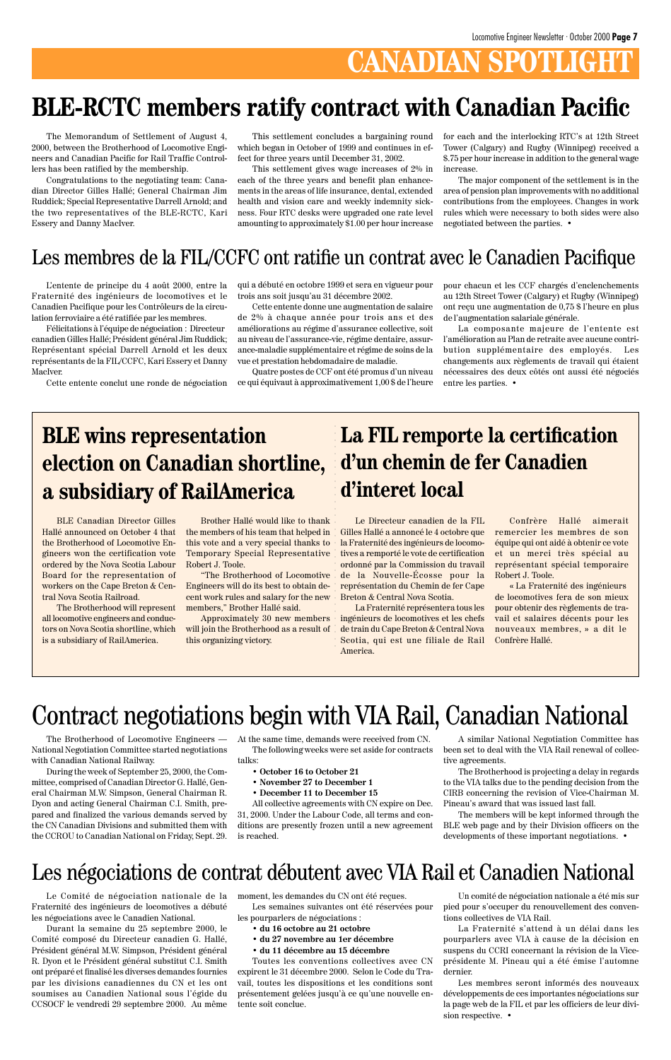# **CANADIAN SPOTLIGH**

The Memorandum of Settlement of August 4, 2000, between the Brotherhood of Locomotive Engineers and Canadian Pacific for Rail Traffic Controllers has been ratified by the membership.

Congratulations to the negotiating team: Canadian Director Gilles Hallé; General Chairman Jim Ruddick; Special Representative Darrell Arnold; and the two representatives of the BLE-RCTC, Kari Essery and Danny MacIver.

This settlement concludes a bargaining round which began in October of 1999 and continues in effect for three years until December 31, 2002.

This settlement gives wage increases of 2% in each of the three years and benefit plan enhancements in the areas of life insurance, dental, extended health and vision care and weekly indemnity sickness. Four RTC desks were upgraded one rate level amounting to approximately \$1.00 per hour increase for each and the interlocking RTC's at 12th Street Tower (Calgary) and Rugby (Winnipeg) received a \$.75 per hour increase in addition to the general wage increase.

The major component of the settlement is in the area of pension plan improvements with no additional contributions from the employees. Changes in work rules which were necessary to both sides were also negotiated between the parties. •

# **BLE-RCTC members ratify contract with Canadian Pacific**

L'entente de principe du 4 août 2000, entre la Fraternité des ingénieurs de locomotives et le Canadien Pacifique pour les Contrôleurs de la circulation ferroviaire a été ratifiée par les membres.

Félicitations à l'équipe de négociation␣ : Directeur canadien Gilles Hallé; Président général Jim Ruddick; Représentant spécial Darrell Arnold et les deux représentants de la FIL/CCFC, Kari Essery et Danny MacIver.

Cette entente conclut une ronde de négociation

### Les membres de la FIL/CCFC ont ratifie un contrat avec le Canadien Pacifique

qui a débuté en octobre 1999 et sera en vigueur pour trois ans soit jusqu'au 31 décembre 2002.

Cette entente donne une augmentation de salaire de 2% à chaque année pour trois ans et des améliorations au régime d'assurance collective, soit au niveau de l'assurance-vie, régime dentaire, assurance-maladie supplémentaire et régime de soins de la vue et prestation hebdomadaire de maladie.

Quatre postes de CCF ont été promus d'un niveau ce qui équivaut à approximativement 1,00 \$ de l'heure pour chacun et les CCF chargés d'enclenchements au 12th Street Tower (Calgary) et Rugby (Winnipeg) ont reçu une augmentation de 0,75 \$ l'heure en plus de l'augmentation salariale générale.

La composante majeure de l'entente est l'amélioration au Plan de retraite avec aucune contribution supplémentaire des employés. Les changements aux règlements de travail qui étaient nécessaires des deux côtés ont aussi été négociés entre les parties. •

BLE Canadian Director Gilles Hallé announced on October 4 that the Brotherhood of Locomotive Engineers won the certification vote ordered by the Nova Scotia Labour Board for the representation of workers on the Cape Breton & Central Nova Scotia Railroad.

The Brotherhood will represent all locomotive engineers and conductors on Nova Scotia shortline, which is a subsidiary of RailAmerica.

> Les semaines suivantes ont été réservées pour les pourparlers de négociations :

Brother Hallé would like to thank the members of his team that helped in this vote and a very special thanks to Temporary Special Representative Robert J. Toole.

"The Brotherhood of Locomotive Engineers will do its best to obtain decent work rules and salary for the new members," Brother Hallé said.

Approximately 30 new members will join the Brotherhood as a result of this organizing victory.

# **BLE wins representation election on Canadian shortline, a subsidiary of RailAmerica**

Le Directeur canadien de la FIL Gilles Hallé a annoncé le 4 octobre que la Fraternité des ingénieurs de locomotives a remporté le vote de certification ordonné par la Commission du travail de la Nouvelle-Écosse pour la représentation du Chemin de fer Cape Breton & Central Nova Scotia.

La Fraternité représentera tous les ingénieurs de locomotives et les chefs de train du Cape Breton & Central Nova Scotia, qui est une filiale de Rail America.

# **La FIL remporte la certification d'un chemin de fer Canadien d'interet local**

Confrère Hallé aimerait remercier les membres de son équipe qui ont aidé à obtenir ce vote et un merci très spécial au représentant spécial temporaire Robert J. Toole.

«␣ La Fraternité des ingénieurs de locomotives fera de son mieux pour obtenir des règlements de travail et salaires décents pour les nouveaux membres,␣ » a dit le Confrère Hallé.

aaaaaaaaaaaaaaaaaaaaaaaaaaaaaaaaa

The Brotherhood of Locomotive Engineers — National Negotiation Committee started negotiations with Canadian National Railway.

During the week of September 25, 2000, the Com-

mittee, comprised of Canadian Director G. Hallé, General Chairman M.W. Simpson, General Chairman R. Dyon and acting General Chairman C.I. Smith, prepared and finalized the various demands served by the CN Canadian Divisions and submitted them with the CCROU to Canadian National on Friday, Sept. 29. At the same time, demands were received from CN. The following weeks were set aside for contracts talks:

**• October 16 to October 21**

**• November 27 to December 1**

#### **• December 11 to December 15**

All collective agreements with CN expire on Dec. 31, 2000. Under the Labour Code, all terms and conditions are presently frozen until a new agreement is reached.

# Contract negotiations begin with VIA Rail, Canadian National

A similar National Negotiation Committee has been set to deal with the VIA Rail renewal of collective agreements.

The Brotherhood is projecting a delay in regards

to the VIA talks due to the pending decision from the CIRB concerning the revision of Vice-Chairman M. Pineau's award that was issued last fall.

The members will be kept informed through the BLE web page and by their Division officers on the developments of these important negotiations. •

Le Comité de négociation nationale de la Fraternité des ingénieurs de locomotives a débuté les négociations avec le Canadien National.

Durant la semaine du 25 septembre 2000, le Comité composé du Directeur canadien G. Hallé, Président général M.W. Simpson, Président général R. Dyon et le Président général substitut C.I. Smith ont préparé et finalisé les diverses demandes fournies par les divisions canadiennes du CN et les ont soumises au Canadien National sous l'égide du CCSOCF le vendredi 29 septembre 2000. Au même

### Les négociations de contrat débutent avec VIA Rail et Canadien National

moment, les demandes du CN ont été reçues.

- **du 16 octobre au 21 octobre**
- **du 27 novembre au 1er décembre**
- **du 11 décembre au 15 décembre**

Toutes les conventions collectives avec CN expirent le 31 décembre 2000. Selon le Code du Travail, toutes les dispositions et les conditions sont présentement gelées jusqu'à ce qu'une nouvelle entente soit conclue.

Un comité de négociation nationale a été mis sur pied pour s'occuper du renouvellement des conventions collectives de VIA Rail.

La Fraternité s'attend à un délai dans les pourparlers avec VIA à cause de la décision en suspens du CCRI concernant la révision de la Viceprésidente M. Pineau qui a été émise l'automne dernier.

Les membres seront informés des nouveaux développements de ces importantes négociations sur la page web de la FIL et par les officiers de leur division respective. •